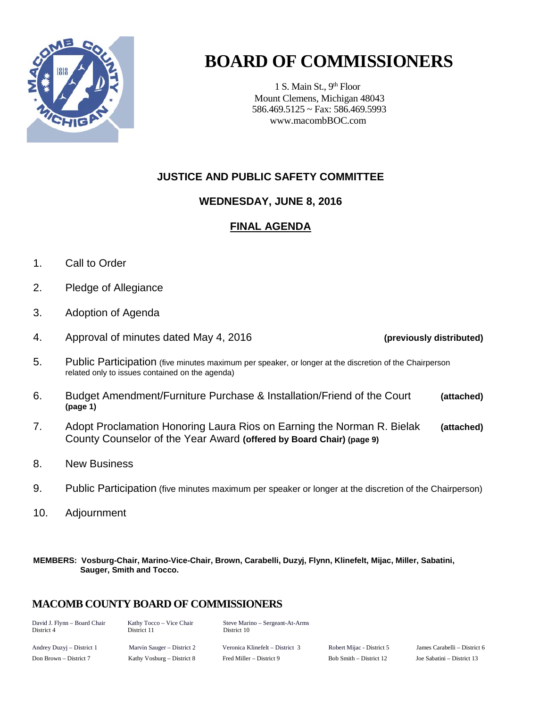

# **BOARD OF COMMISSIONERS**

1 S. Main St., 9<sup>th</sup> Floor Mount Clemens, Michigan 48043 586.469.5125 ~ Fax: 586.469.5993 www.macombBOC.com

### **JUSTICE AND PUBLIC SAFETY COMMITTEE**

### **WEDNESDAY, JUNE 8, 2016**

### **FINAL AGENDA**

- 1. Call to Order
- 2. Pledge of Allegiance
- 3. Adoption of Agenda
- 4. Approval of minutes dated May 4, 2016 **(previously distributed)**

- 5. Public Participation (five minutes maximum per speaker, or longer at the discretion of the Chairperson related only to issues contained on the agenda)
- 6. Budget Amendment/Furniture Purchase & Installation/Friend of the Court **(attached) (page 1)**
- 7. Adopt Proclamation Honoring Laura Rios on Earning the Norman R. Bielak **(attached)** County Counselor of the Year Award **(offered by Board Chair) (page 9)**
- 8. New Business
- 9. Public Participation (five minutes maximum per speaker or longer at the discretion of the Chairperson)
- 10. Adjournment

**MEMBERS: Vosburg-Chair, Marino-Vice-Chair, Brown, Carabelli, Duzyj, Flynn, Klinefelt, Mijac, Miller, Sabatini, Sauger, Smith and Tocco.**

#### **MACOMB COUNTY BOARD OF COMMISSIONERS**

| David J. Flynn - Board Chair<br>District 4 | Kathy Tocco – Vice Chair<br>District 11 | Steve Marino – Sergeant-At-Arms<br>District 10 |                           |
|--------------------------------------------|-----------------------------------------|------------------------------------------------|---------------------------|
| Andrey Duzyj – District 1                  | Marvin Sauger – District 2              | Veronica Klinefelt – District 3                | Robert Mijac - District 5 |
| Don $Brown = District 7$                   | Kathy Voshurg $=$ District 8            | Fred Miller - District 9                       | $Roh Smith = District 12$ |

Andrey Duzyj – District 1 Marvin Sauger – District 2 Veronica Klinefelt – District 3 Robert Mijac - District 5 James Carabelli – District 6 Joe Sabatini – District 13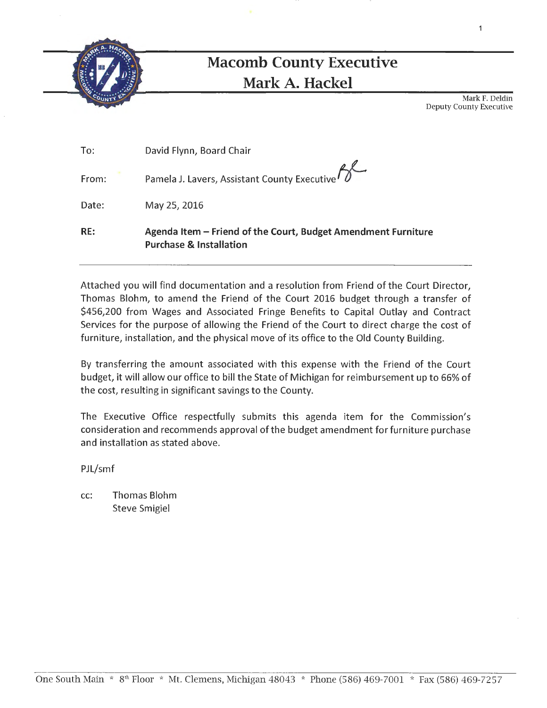

## **Macomb County Executive Mark A. Hackel**

Mark F. Deldin Deputy County Executive

1

| To:   | David Flynn, Board Chair                                                                            |
|-------|-----------------------------------------------------------------------------------------------------|
| From: | Pamela J. Lavers, Assistant County Executive PJ                                                     |
| Date: | May 25, 2016                                                                                        |
| RE:   | Agenda Item – Friend of the Court, Budget Amendment Furniture<br><b>Purchase &amp; Installation</b> |

Attached you will find documentation and a resolution from Friend of the Court Director, Thomas Blohm, to amend the Friend of the Court 2016 budget through a transfer of \$456,200 from Wages and Associated Fringe Benefits to Capital Outlay and Contract Services for the purpose of allowing the Friend of the Court to direct charge the cost of furniture, installation, and the physical move of its office to the Old County Building.

By transferring the amount associated with this expense with the Friend of the Court budget, it will allow our office to bill the State of Michigan for reimbursement up to 66% of the cost, resulting in significant savings to the County.

The Executive Office respectfully submits this agenda item for the Commission's consideration and recommends approval of the budget amendment for furniture purchase and installation as stated above.

PJL/smf

cc: Thomas Blohm Steve Smigiel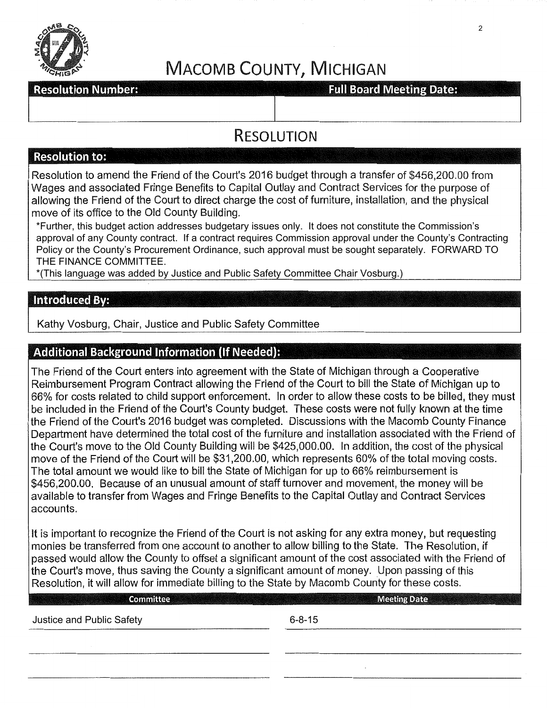

# MACOMB COUNTY, MICHIGAN

#### **Resolution Number:**

**Full Board Meeting Date:** 

## RESOLUTION

#### **Resolution to:**

Resolution to amend the Friend of the Court's 2016 budget through a transfer of \$456,200.00 from Wages and associated Fringe Benefits to Capital Outlay and Contract Services for the purpose of allowing the Friend of the Court to direct charge the cost of furniture, installation, and the physical move of its office to the Old County Building.

\*Further, this budget action addresses budgetary issues only. It does not constitute the Commission's approval of any County contract. If a contract requires Commission approval under the County's Contracting Policy or the County's Procurement Ordinance, such approval must be sought separately. FORWARD TO THE FINANCE COMMITTEE.

\*(This language was added by Justice and Public Safety Committee Chair Vosburg.)

#### **Introduced By:**

Kathy Vosburg, Chair, Justice and Public Safety Committee

#### **Additional Background Information (If Needed):**

The Friend of the Court enters into agreement with the State of Michigan through a Cooperative Reimbursement Program Contract allowing the Friend of the Court to bill the State of Michigan up to 66% for costs related to child support enforcement. In order to allow these costs to be billed, they must be included in the Friend of the Court's County budget. These costs were not fully known at the time the Friend of the Court's 2016 budget was completed. Discussions with the Macomb County Finance Department have determined the total cost of the furniture and installation associated with the Friend of the Court's move to the Old County Building will be \$425,000.00. In addition, the cost of the physical move of the Friend of the Court will be \$31,200.00, which represents 60% of the total moving costs. The total amount we would like to bill the State of Michigan for up to 66% reimbursement is \$456,200.00. Because of an unusual amount of staff turnover and movement, the money will be available to transfer from Wages and Fringe Benefits to the Capital Outlay and Contract Services accounts.

It is important to recognize the Friend of the Court is not asking for any extra money, but requesting monies be transferred from one account to another to allow billing to the State. The Resolution, if passed would allow the County to offset a significant amount of the cost associated with the Friend of the Court's move, thus saving the County a significant amount of money. Upon passing of this Resolution, it will allow for immediate billing to the State by Macomb County for these costs.

| Committee                 | <b>Meeting Date</b> |
|---------------------------|---------------------|
| Justice and Public Safety | $6 - 8 - 15$        |
|                           |                     |
|                           |                     |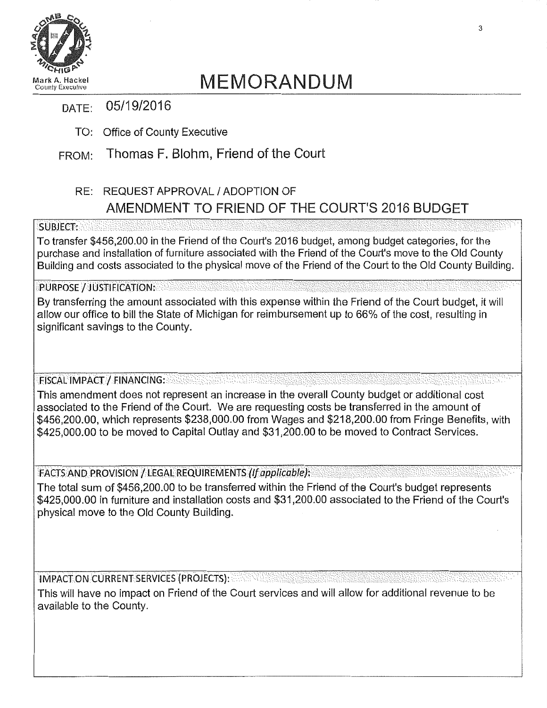

# MEMORANDUM County Executive

### DATE: 05/19/2016

TO: Office of County Executive

## FROM: Thomas F. Blohm, Friend of the Court

## RE: REQUEST APPROVAL I ADOPTION OF AMENDMENT TO FRIEND OF THE COURT'S 2016 BUDGET

#### **SUBJECT:**

To transfer \$456,200.00 in the Friend of the Court's 2016 budget, among budget categories, for the purchase and installation of furniture associated with the Friend of the Court's move to the Old County Building and costs associated to the physical move of the Friend of the Court to the Old County Building.

#### PURPOSE / JUSTIFICATION:

By transferring the amount associated with this expense within the Friend of the Court budget, it will allow our office to bill the State of Michigan for reimbursement up to 66% of the cost, resulting in significant savings to the County.

FISCAL IMPACT / FINANCING:

This amendment does not represent an increase in the overall County budget or additional cost associated to the Friend of the Court. We are requesting costs be transferred in the amount of \$456,200.00, which represents \$238,000.00 from Wages and \$218,200.00 from Fringe Benefits, with \$425,000.00 to be moved to Capital Outlay and \$31,200.00 to be moved to Contract Services.

FACTS AND PROVISION / LEGAL REQUIREMENTS (If applicable):

The total sum of \$456,200.00 to be transferred within the Friend of the Court's budget represents \$425,000.00 in furniture and installation costs and \$31,200.00 associated to the Friend of the Court's physical move to the Old County Building.

I MPACf:ON CURRENTSERVICES(PROJECTS): ·•·•····

This will have no impact on Friend of the Court services and will allow for additional revenue to be available to the County.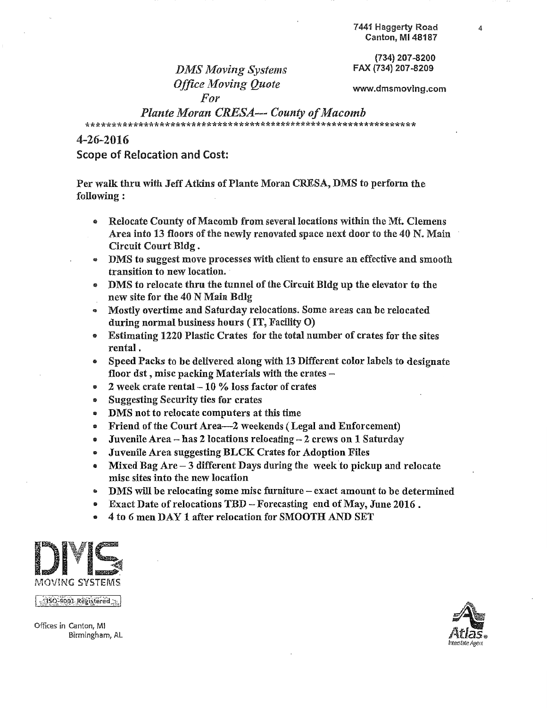(734) 207.-8200 FAX (734) 207-8209

*DMS Moving Systems Office Moving Quote For* 

www.dmsmovlng.com

#### *Plante Moran CRESA--- County of Macomb*  \*\*\*\*\*\*\*\*\*\*\*\*\*\*\*\*\*\*\*\*\*\*\*\*\*\*\*\*\*\*\*\*\*\*\*\*\*\*\*\*\*\*\*\*\*\*\*\*\*\*\*\*\*\*\*\*\*\*\*\*\*\*\*

4-26-2016

Scope of Relocation and Cost:

Per walk thru with Jeff Atkins of Plante Moran CRESA, DMS to perform the following:

- Relocate County of Macomb from several locations within the Mt. Clemens Area into 13 floors of the newly renovated space next door to the 40 N. Main Circuit Court Bldg .
- DMS to suggest move processes with client to ensure an effective and smooth transition to new location.
- DMS to relocate thru the tunnel of the Circuit Bldg up the elevator to the new site for the 40 N Main Bdlg
- Mostly overtime and Saturday relocations. Some areas can be relocated during normal business hours (IT, Facility 0)
- Estimating 1220 Plastic Crates for the total number of crates for the sites rental.
- Speed Packs to be delivered along with 13 Different color labels to designate floor dst, misc packing Materials with the crates  $-$
- 2 week crate rental  $-10\%$  loss factor of crates
- ~~~ Suggesting Security ties for crates
- DMS not to relocate computers at this time
- e Friend of the Court Area-2 weekends (Legal and Enforcement)
- Juvenile Area has 2 locations relocating 2 crews on 1 Saturday
- Juvenile Area suggesting BLCK Crates for Adoption Files
- Mixed Bag Are  $-3$  different Days during the week to pickup and relocate mise sites into the new location
- DMS will be relocating some misc furniture exact amount to be determined
- Exact Date of relocations TBD -Forecasting end of May, June 2016.
- 4 to *6* men DAY 1 after relocation for SMOOTH AND SET



Offices in Canton, Ml Birmingham, AL

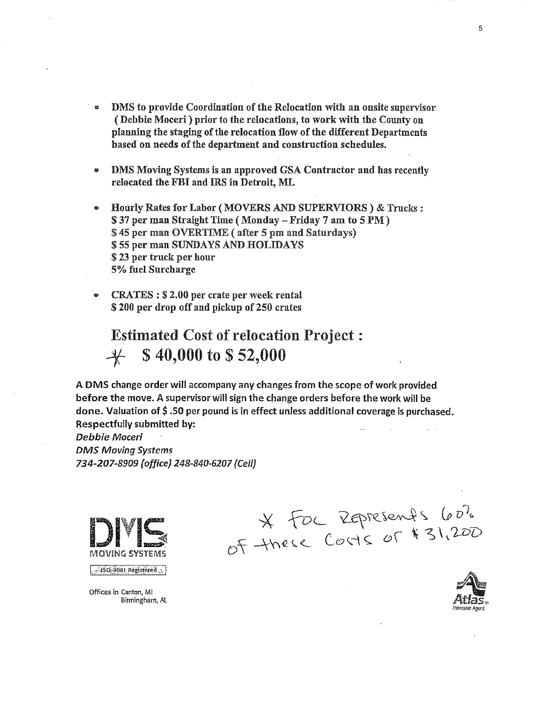- DMS to provide Coordination of the Relocation with an onsite supervisor (Debbie Moceri) prior to the relocations, to work with the County on planning the staging of the relocation flow of the different Departments based on needs of the department and construction schedules.
- DMS Moving Systems is an approved GSA Contractor and has recently relocated the FBI and IRS in Detroit, MI.
- Hourly Rates for Labor (MOVERS AND SUPERVIORS) & Trucks : \$ 37 per man Straight Time ( Monday- Friday 7 am to 5 PM) \$ 45 per man OVERTIME (after 5 pm and Saturdays) \$55 per man SUNDAYS AND HOLIDAYS \$ 23 per truck per hour 5% fuel Surcharge
- CRATES : \$ 2.00 per crate per week rental \$ 200 per drop off and pickup of 250 crates

Estimated Cost of relocation Project :  $\frac{4}{5}$  \$ 40,000 to \$52,000

A OMS change order will accompany any changes from the scope of work provided before the move. A supervisor will sign the change orders before the work will be done. Valuation of  $$.50$  per pound is in effect unless additional coverage is purchased. Respectfully submitted by:

Debbie Moceri *DMS Moving Systems*  734-207-8909 *(office]* 248-840-6207 {Cell}



 $\sim$  150-9001 Registered

Offices in Canton, Ml

Binningham, AL

\* FOC REPRESENTS 60%

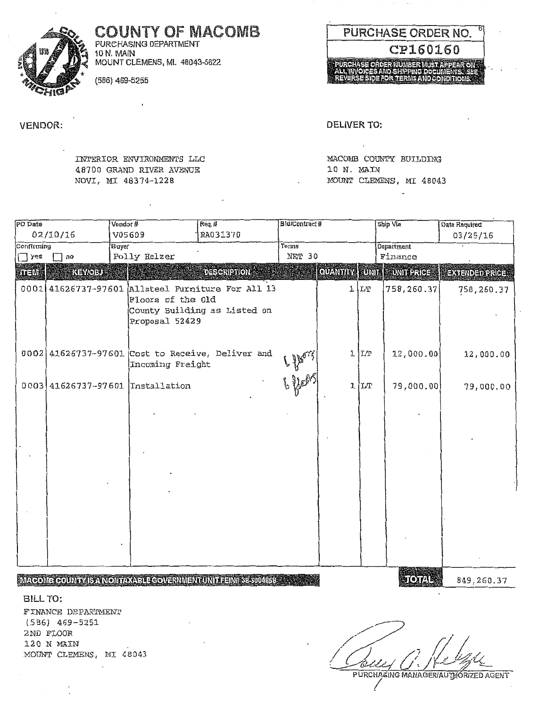**COUNTY OF MACOMB** PURCHASING DEPARTMENT

10 N. MAIN MOUNT CLEMENS, MI. 48043-5622

(586) 469-5255

**VENDOR:** 

INTERIOR ENVIRONMENTS LLC 48700 GRAND RIVER AVENUE NOVI, MI 48374-1228

MACOMB COUNTY BUILDING 10 N. MAIN MOUNT CLEMENS, MI 48043

| PO Date             |          | Vendor# |                                     | $R$ eq. #                                                                    | Bid/Contract# |                   | Ship Via        | Date Required          |
|---------------------|----------|---------|-------------------------------------|------------------------------------------------------------------------------|---------------|-------------------|-----------------|------------------------|
|                     | 02/10/16 | V05609  |                                     | RA031370                                                                     |               |                   |                 | 03/25/16               |
| Buyer<br>Confirming |          |         |                                     | Terms                                                                        |               | <b>Department</b> |                 |                        |
| $\Box$ yes          | no       |         | Polly Helzer                        |                                                                              | NET 30        |                   | Finance         |                        |
| <b>STERNE</b>       | KEY/OBU- |         |                                     | <b>DESCRIPTION</b>                                                           |               | QUANTITY          | UNIT UNIT PRICE | <b>EXTENDED PRICE:</b> |
| 0001                |          |         | Floors of the Old<br>Proposal 52429 | 41626737-97601 Allsteel Furniture For All 13<br>County Building as Listed on |               | 11T               | 758,260.37      | 758,260.37             |
|                     |          |         | Incoming Freight                    | $0002$ 41626737-97601 Cost to Receive, Deliver and                           |               | $1 \text{L}$      | 12,000.00       | 12,000.00              |
|                     |          |         | 0003 41626737-97601 Tnstallation    |                                                                              | 6 feel        | 1 LT              | 79,000.00       | 79,000.00              |
|                     |          |         |                                     |                                                                              |               |                   |                 |                        |
|                     |          |         |                                     | MACOME COUNTY IS A NONTAYABLE GOVERNMENT UNIT FEIN# \$8-6004868              |               |                   | TOTAL           | 849,260.37             |

BILL TO:

FINANCE DEPARTMENT  $(586)$  469-5251 2ND FLOOR 120 N MAIN MOUNT CLEMENS, MI 48043





DELIVER TO: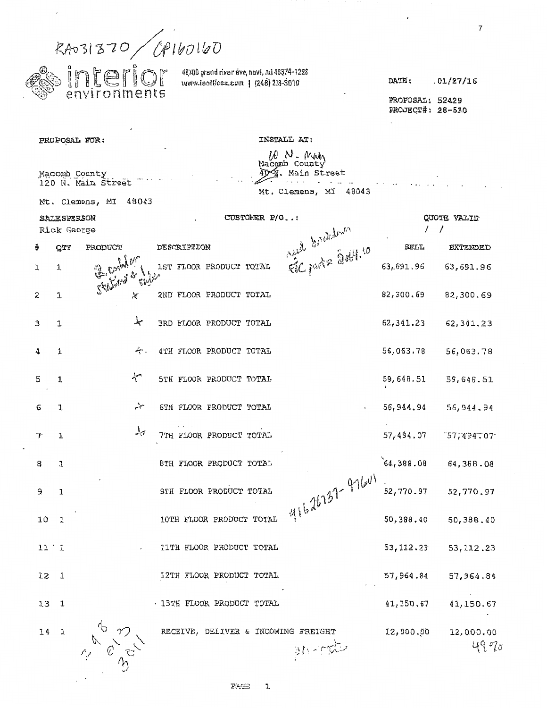|              |                                    | RAD31370/CP160160                                                                                                                                                                                                                                                                                                                            |       |             |                                                                                 |              |                                                      |                |                                     | $\overline{7}$      |
|--------------|------------------------------------|----------------------------------------------------------------------------------------------------------------------------------------------------------------------------------------------------------------------------------------------------------------------------------------------------------------------------------------------|-------|-------------|---------------------------------------------------------------------------------|--------------|------------------------------------------------------|----------------|-------------------------------------|---------------------|
|              |                                    | interior<br>environments                                                                                                                                                                                                                                                                                                                     |       |             | 40700 grand river ave, novi, mi 48374-1228<br>www.iecfices.com   (248) 213-3010 |              |                                                      |                | DATE:                               | .01/27/16           |
|              |                                    |                                                                                                                                                                                                                                                                                                                                              |       |             |                                                                                 |              |                                                      |                | PROPOSAL: 52429<br>PROJECT#: 28-530 |                     |
|              |                                    | PROPOSAL FOR:                                                                                                                                                                                                                                                                                                                                |       |             |                                                                                 |              | INSTALL AT:<br>ID N. Main                            |                |                                     |                     |
|              |                                    | Macomb County<br>120 N. Main Street                                                                                                                                                                                                                                                                                                          |       |             |                                                                                 |              | Macomb County<br>40A. Main Street<br>Mt. Clemens, MI | 48043          |                                     |                     |
|              |                                    | Mt. Clemens, MI                                                                                                                                                                                                                                                                                                                              | 48043 |             |                                                                                 |              |                                                      |                |                                     |                     |
|              | <b>SALE SPERSON</b><br>Rick George |                                                                                                                                                                                                                                                                                                                                              |       |             |                                                                                 | CUSTOMER P/O |                                                      |                |                                     | QUOTE VALID         |
| ؛            | <b>OTY</b>                         | PRODUCT                                                                                                                                                                                                                                                                                                                                      |       | DESCRIPTION |                                                                                 |              |                                                      |                | SELL                                | EXTENDED            |
| ı            | 1                                  | Florida pr                                                                                                                                                                                                                                                                                                                                   |       |             | 1ST FLOOR PRODUCT TOTAL                                                         |              |                                                      | we knekken     | 63,691.96                           | 63,691.96           |
| 2            | $\mathbf{L}$                       |                                                                                                                                                                                                                                                                                                                                              | Х     |             | 2ND FLOOR PRODUCT TOTAL                                                         |              |                                                      |                | 82,300.69                           | 82,300.69           |
| 3            | 1                                  |                                                                                                                                                                                                                                                                                                                                              | سمله  |             | <b>3RD FLOOR PRODUCT TOTAL</b>                                                  |              |                                                      |                | 62, 341.23                          | 62,341.23           |
| 4            | 1                                  |                                                                                                                                                                                                                                                                                                                                              | ∻.    |             | 4TH FLOOR PRODUCT TOTAL                                                         |              |                                                      |                | 56,063.78                           | 56,063.78           |
| 5            | 1                                  |                                                                                                                                                                                                                                                                                                                                              | سملجه |             | 5TH FLOOR PRODUCT TOTAL                                                         |              |                                                      |                | 59,648.51                           | 59,648.51           |
| 6            | L.                                 |                                                                                                                                                                                                                                                                                                                                              | سينمه |             | 6TH FLOOR PRODUCT TOTAL                                                         |              |                                                      |                | 56,944.94                           | 56,944.94           |
| 7.           | 1                                  |                                                                                                                                                                                                                                                                                                                                              | ہلہ   |             | 7TH FLOOR PRODUCT TOTAL                                                         |              |                                                      |                | 57,494.07                           | 757,494.07          |
| 8            | 1                                  |                                                                                                                                                                                                                                                                                                                                              |       |             | 8TH FLOOR PRODUCT TOTAL                                                         |              |                                                      |                | 64,388.08                           | 64,388.08           |
| $\mathsf{S}$ | $\mathbf 1$                        |                                                                                                                                                                                                                                                                                                                                              |       |             | 9TH FLOOR PRODUCT TOTAL                                                         |              |                                                      | 41626737-97601 | 52,770.97                           | 52,770.97           |
| 10           | $\mathbf{1}$                       |                                                                                                                                                                                                                                                                                                                                              |       |             | 10TH FLOOR PRODUCT TOTAL                                                        |              |                                                      |                | 50,388.40                           | 50,388.40           |
|              | 11'1                               |                                                                                                                                                                                                                                                                                                                                              |       |             | 11TH FLOOR PRODUCT TOTAL                                                        |              |                                                      |                | 53, 112.23                          | 53, 112.23          |
|              | $12-1$                             |                                                                                                                                                                                                                                                                                                                                              |       |             | 12TH FLOOR PRODUCT TOTAL                                                        |              |                                                      |                | 57,964.84                           | 57,964.84           |
|              | 13 <sub>1</sub>                    |                                                                                                                                                                                                                                                                                                                                              |       |             | · 13TH FLOOR PRODUCT TOTAL                                                      |              |                                                      |                | 41,150.67                           | 41,150.67           |
|              | 14 1                               | $\begin{picture}(180,10) \put(0,0){\line(1,0){155}} \put(15,0){\line(1,0){155}} \put(15,0){\line(1,0){155}} \put(15,0){\line(1,0){155}} \put(15,0){\line(1,0){155}} \put(15,0){\line(1,0){155}} \put(15,0){\line(1,0){155}} \put(15,0){\line(1,0){155}} \put(15,0){\line(1,0){155}} \put(15,0){\line(1,0){155}} \put(15,0){\line(1,0){155}}$ |       |             |                                                                                 |              | RECEIVE, DELIVER & INCOMING FREIGHT<br>M. rd         |                | 12,000.00                           | 12,000.00<br>પ્લ જા |

 $\bar{\mathcal{A}}$ 

 $\frac{1}{2}$  .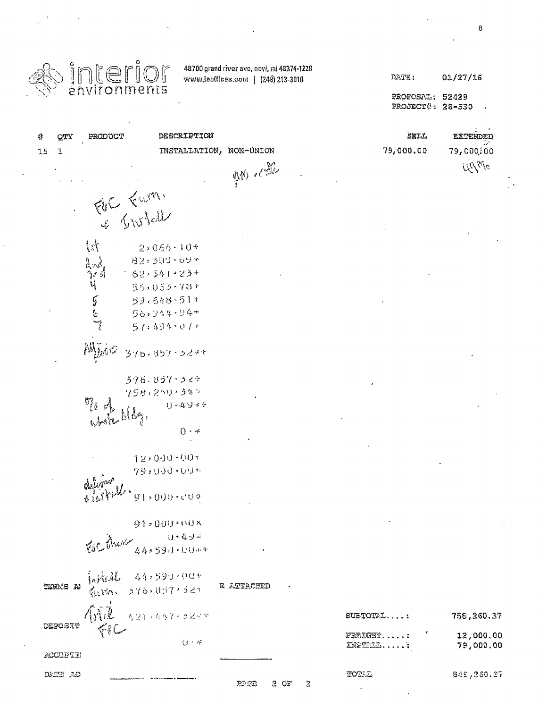| <b>Sinterior</b> |  |
|------------------|--|
|                  |  |

 $\ddot{\phantom{a}}$ 

 $\ddot{\phantom{a}}$ 

 $\ddot{\phantom{a}}$ 

48700 grand river eve, novi, mi 48374-1228 www.ieoffices.com | (248) 213-3010

 $\ddot{\phantom{a}}$ 

PROFOSAL: 52429 PROJECT#: 28-530

| 솹 |        | QTY      | PRODUCT                                                     | DESCRIPTION                                           |                   | SELL                 | EXTENDED         |
|---|--------|----------|-------------------------------------------------------------|-------------------------------------------------------|-------------------|----------------------|------------------|
|   | $15\,$ | 1        |                                                             | INSTALLATION,                                         | NON-UNION         | 79,000.00            | 79,000;00        |
|   |        |          |                                                             |                                                       | <b>AM</b> CAL     |                      | URM <sub>0</sub> |
|   |        |          |                                                             |                                                       |                   |                      |                  |
|   |        |          |                                                             |                                                       |                   |                      |                  |
|   |        |          |                                                             | FOR FUM                                               |                   |                      |                  |
|   |        |          | $\begin{bmatrix} \end{bmatrix}$                             | $2*054*10*$                                           |                   |                      |                  |
|   |        |          |                                                             | 82, 500-09+                                           |                   |                      |                  |
|   |        |          | ا معرض معره لي.<br>مطالعة التفاعة لي.<br>مطالعة التفاعة لي. | 62:341-23+                                            |                   |                      |                  |
|   |        |          |                                                             | 56,055-78+                                            |                   |                      |                  |
|   |        |          |                                                             | 53,648-51+                                            |                   |                      |                  |
|   |        |          |                                                             | 56:344 54+                                            |                   |                      |                  |
|   |        |          |                                                             | $51:494 \cdot 01r$                                    |                   |                      |                  |
|   |        |          | $\mathbb{M}_{\mathbb{M}}$ of $\sigma$                       | うりゅっぽうりょうどそで                                          |                   |                      |                  |
|   |        |          |                                                             | $376.837 - 527$                                       |                   |                      |                  |
|   |        |          |                                                             | $75$ 8) 250+347                                       |                   |                      |                  |
|   |        |          | $\mathbb{F}_{\bar{\ell}}$ .                                 | $1 - 49 + 4$<br>$M_{\odot}$                           |                   |                      |                  |
|   |        |          |                                                             | $0 \cdot \star$                                       |                   |                      |                  |
|   |        |          |                                                             |                                                       |                   |                      |                  |
|   |        |          |                                                             | 12,000-001                                            |                   |                      |                  |
|   |        |          |                                                             | 79:000-00+                                            |                   |                      |                  |
|   |        |          |                                                             | $91,000\cdot 000$                                     |                   |                      |                  |
|   |        |          |                                                             |                                                       |                   |                      |                  |
|   |        |          |                                                             | $91:001**011*$                                        |                   |                      |                  |
|   |        |          |                                                             | $80.6$ and $49.590.004$                               |                   |                      |                  |
|   |        |          |                                                             |                                                       | <b>Contractor</b> |                      |                  |
|   |        |          |                                                             | TERMS A (WALL 44,599-00+<br>TERMS A (WALL 576,857-52) |                   |                      |                  |
|   |        |          |                                                             |                                                       | e attacued<br>E   |                      |                  |
|   |        |          |                                                             |                                                       |                   |                      |                  |
|   |        |          |                                                             |                                                       |                   | SUETOTAL             | 758,260.37       |
|   |        |          |                                                             |                                                       |                   | FREIGHT: ' 12,000.00 |                  |
|   |        |          |                                                             | $U - r$                                               |                   | INSTALL              | 79,000.00        |
|   |        | ACCHPIEN |                                                             |                                                       |                   |                      |                  |
|   |        | DETE AC  |                                                             |                                                       |                   | TOTAL                | 845,260.27       |

 $2$  OF  $\mathfrak Z$ 

 $\omega$ 

 $\mathcal{P}^{\tau}$  GB

وتحملها بمقار   $\mathcal{S}^{\mathcal{A}}$